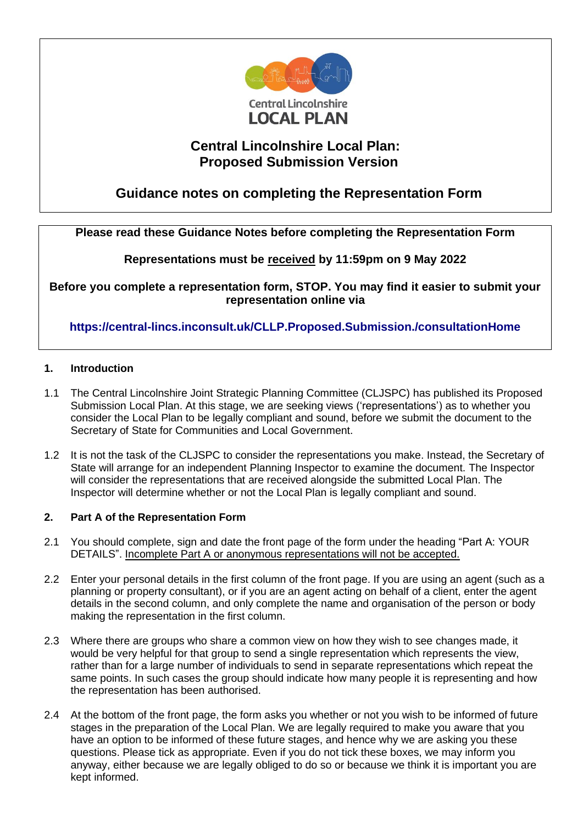

## **Central Lincolnshire Local Plan: Proposed Submission Version**

# **Guidance notes on completing the Representation Form**

## **Please read these Guidance Notes before completing the Representation Form**

## **Representations must be received by 11:59pm on 9 May 2022**

**Before you complete a representation form, STOP. You may find it easier to submit your representation online via** 

**<https://central-lincs.inconsult.uk/CLLP.Proposed.Submission./consultationHome>**

#### **1. Introduction**

- 1.1 The Central Lincolnshire Joint Strategic Planning Committee (CLJSPC) has published its Proposed Submission Local Plan. At this stage, we are seeking views ('representations') as to whether you consider the Local Plan to be legally compliant and sound, before we submit the document to the Secretary of State for Communities and Local Government.
- 1.2 It is not the task of the CLJSPC to consider the representations you make. Instead, the Secretary of State will arrange for an independent Planning Inspector to examine the document. The Inspector will consider the representations that are received alongside the submitted Local Plan. The Inspector will determine whether or not the Local Plan is legally compliant and sound.

#### **2. Part A of the Representation Form**

- 2.1 You should complete, sign and date the front page of the form under the heading "Part A: YOUR DETAILS". Incomplete Part A or anonymous representations will not be accepted.
- 2.2 Enter your personal details in the first column of the front page. If you are using an agent (such as a planning or property consultant), or if you are an agent acting on behalf of a client, enter the agent details in the second column, and only complete the name and organisation of the person or body making the representation in the first column.
- 2.3 Where there are groups who share a common view on how they wish to see changes made, it would be very helpful for that group to send a single representation which represents the view, rather than for a large number of individuals to send in separate representations which repeat the same points. In such cases the group should indicate how many people it is representing and how the representation has been authorised.
- 2.4 At the bottom of the front page, the form asks you whether or not you wish to be informed of future stages in the preparation of the Local Plan. We are legally required to make you aware that you have an option to be informed of these future stages, and hence why we are asking you these questions. Please tick as appropriate. Even if you do not tick these boxes, we may inform you anyway, either because we are legally obliged to do so or because we think it is important you are kept informed.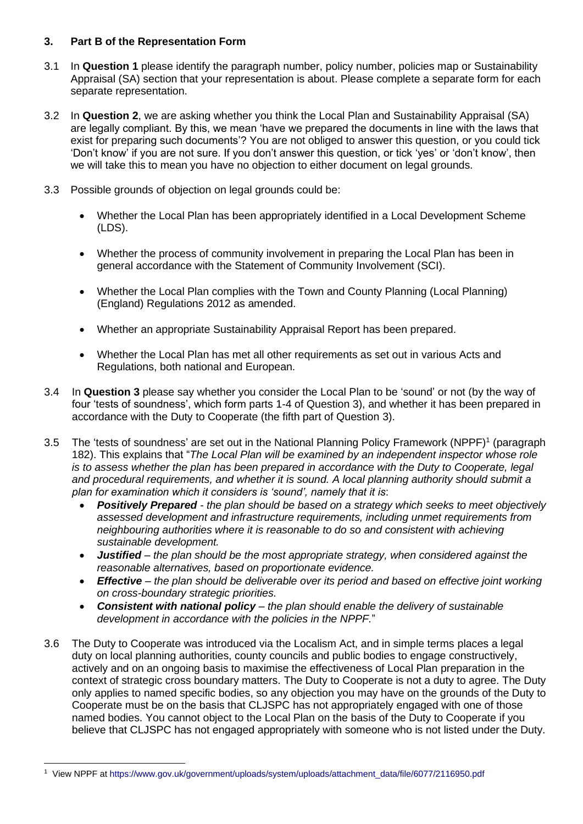### **3. Part B of the Representation Form**

- 3.1 In **Question 1** please identify the paragraph number, policy number, policies map or Sustainability Appraisal (SA) section that your representation is about. Please complete a separate form for each separate representation.
- 3.2 In **Question 2**, we are asking whether you think the Local Plan and Sustainability Appraisal (SA) are legally compliant. By this, we mean 'have we prepared the documents in line with the laws that exist for preparing such documents'? You are not obliged to answer this question, or you could tick 'Don't know' if you are not sure. If you don't answer this question, or tick 'yes' or 'don't know', then we will take this to mean you have no objection to either document on legal grounds.
- 3.3 Possible grounds of objection on legal grounds could be:
	- Whether the Local Plan has been appropriately identified in a Local Development Scheme (LDS).
	- Whether the process of community involvement in preparing the Local Plan has been in general accordance with the Statement of Community Involvement (SCI).
	- Whether the Local Plan complies with the Town and County Planning (Local Planning) (England) Regulations 2012 as amended.
	- Whether an appropriate Sustainability Appraisal Report has been prepared.
	- Whether the Local Plan has met all other requirements as set out in various Acts and Regulations, both national and European.
- 3.4 In **Question 3** please say whether you consider the Local Plan to be 'sound' or not (by the way of four 'tests of soundness', which form parts 1-4 of Question 3), and whether it has been prepared in accordance with the Duty to Cooperate (the fifth part of Question 3).
- 3.5 The 'tests of soundness' are set out in the National Planning Policy Framework (NPPF)<sup>1</sup> (paragraph 182). This explains that "*The Local Plan will be examined by an independent inspector whose role is to assess whether the plan has been prepared in accordance with the Duty to Cooperate, legal and procedural requirements, and whether it is sound. A local planning authority should submit a plan for examination which it considers is 'sound', namely that it is*:
	- *Positively Prepared - the plan should be based on a strategy which seeks to meet objectively assessed development and infrastructure requirements, including unmet requirements from neighbouring authorities where it is reasonable to do so and consistent with achieving sustainable development.*
	- *Justified – the plan should be the most appropriate strategy, when considered against the reasonable alternatives, based on proportionate evidence.*
	- *Effective – the plan should be deliverable over its period and based on effective joint working on cross-boundary strategic priorities.*
	- *Consistent with national policy – the plan should enable the delivery of sustainable development in accordance with the policies in the NPPF.*"
- 3.6 The Duty to Cooperate was introduced via the Localism Act, and in simple terms places a legal duty on local planning authorities, county councils and public bodies to engage constructively, actively and on an ongoing basis to maximise the effectiveness of Local Plan preparation in the context of strategic cross boundary matters. The Duty to Cooperate is not a duty to agree. The Duty only applies to named specific bodies, so any objection you may have on the grounds of the Duty to Cooperate must be on the basis that CLJSPC has not appropriately engaged with one of those named bodies. You cannot object to the Local Plan on the basis of the Duty to Cooperate if you believe that CLJSPC has not engaged appropriately with someone who is not listed under the Duty.

<sup>1</sup> View NPPF at [https://www.gov.uk/government/uploads/system/uploads/attachment\\_data/file/6077/2116950.pdf](https://www.gov.uk/government/uploads/system/uploads/attachment_data/file/6077/2116950.pdf)